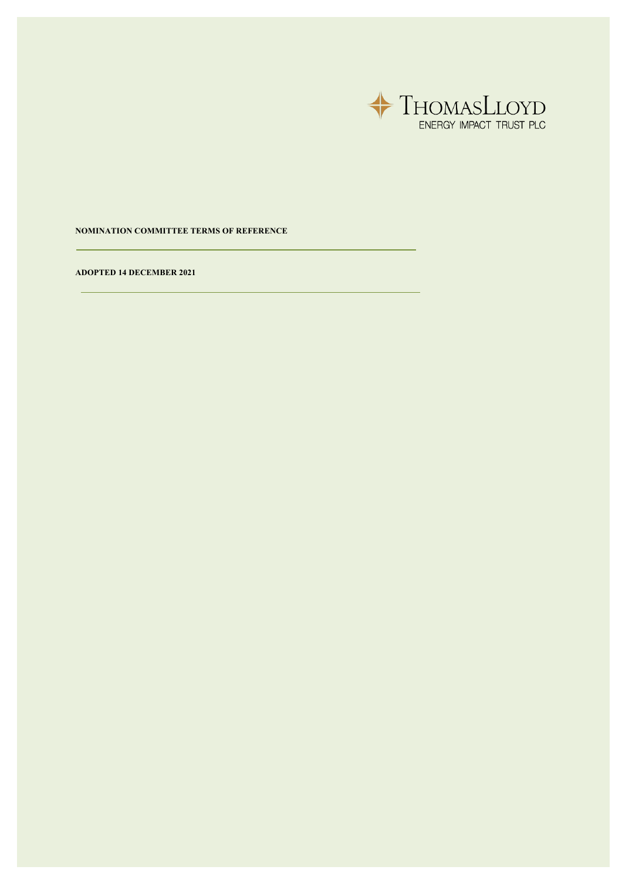

**NOMINATION COMMITTEE TERMS OF REFERENCE**

**ADOPTED 14 DECEMBER 2021**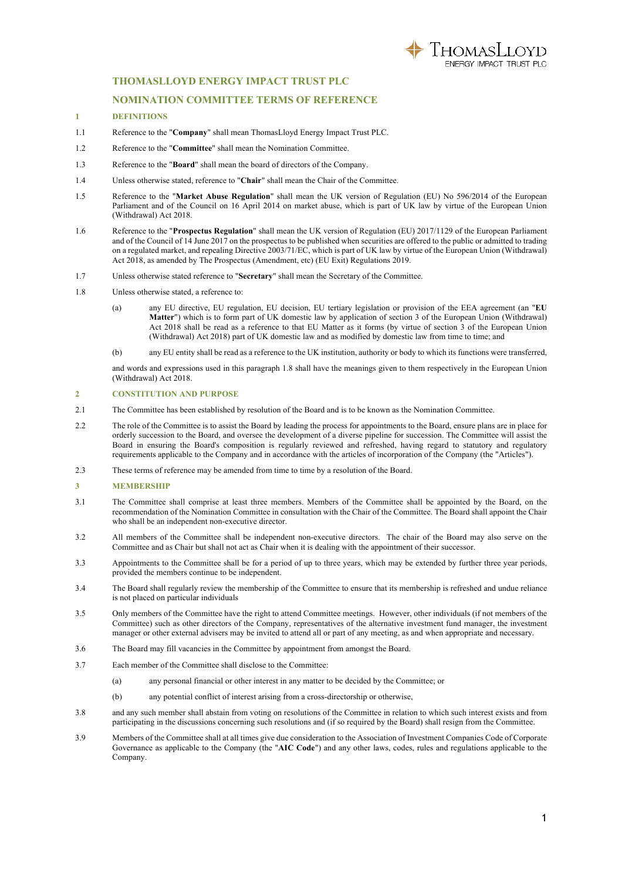

# **THOMASLLOYD ENERGY IMPACT TRUST PLC**

## **NOMINATION COMMITTEE TERMS OF REFERENCE**

#### **1 DEFINITIONS**

- 1.1 Reference to the "**Company**" shall mean ThomasLloyd Energy Impact Trust PLC.
- 1.2 Reference to the "**Committee**" shall mean the Nomination Committee.
- 1.3 Reference to the "**Board**" shall mean the board of directors of the Company.
- 1.4 Unless otherwise stated, reference to "**Chair**" shall mean the Chair of the Committee.
- 1.5 Reference to the "**Market Abuse Regulation**" shall mean the UK version of Regulation (EU) No 596/2014 of the European Parliament and of the Council on 16 April 2014 on market abuse, which is part of UK law by virtue of the European Union (Withdrawal) Act 2018.
- 1.6 Reference to the "**Prospectus Regulation**" shall mean the UK version of Regulation (EU) 2017/1129 of the European Parliament and of the Council of 14 June 2017 on the prospectus to be published when securities are offered to the public or admitted to trading on a regulated market, and repealing Directive 2003/71/EC, which is part of UK law by virtue of the European Union (Withdrawal) Act 2018, as amended by The Prospectus (Amendment, etc) (EU Exit) Regulations 2019.
- 1.7 Unless otherwise stated reference to "**Secretary**" shall mean the Secretary of the Committee.
- 1.8 Unless otherwise stated, a reference to:
	- (a) any EU directive, EU regulation, EU decision, EU tertiary legislation or provision of the EEA agreement (an "**EU Matter**") which is to form part of UK domestic law by application of section 3 of the European Union (Withdrawal) Act 2018 shall be read as a reference to that EU Matter as it forms (by virtue of section 3 of the European Union (Withdrawal) Act 2018) part of UK domestic law and as modified by domestic law from time to time; and
	- (b) any EU entity shall be read as a reference to the UK institution, authority or body to which its functions were transferred,

and words and expressions used in this paragraph 1.8 shall have the meanings given to them respectively in the European Union (Withdrawal) Act 2018.

### **2 CONSTITUTION AND PURPOSE**

- 2.1 The Committee has been established by resolution of the Board and is to be known as the Nomination Committee.
- 2.2 The role of the Committee is to assist the Board by leading the process for appointments to the Board, ensure plans are in place for orderly succession to the Board, and oversee the development of a diverse pipeline for succession. The Committee will assist the Board in ensuring the Board's composition is regularly reviewed and refreshed, having regard to statutory and regulatory requirements applicable to the Company and in accordance with the articles of incorporation of the Company (the "Articles").
- 2.3 These terms of reference may be amended from time to time by a resolution of the Board.

#### **3 MEMBERSHIP**

- 3.1 The Committee shall comprise at least three members. Members of the Committee shall be appointed by the Board, on the recommendation of the Nomination Committee in consultation with the Chair of the Committee. The Board shall appoint the Chair who shall be an independent non-executive director.
- 3.2 All members of the Committee shall be independent non-executive directors. The chair of the Board may also serve on the Committee and as Chair but shall not act as Chair when it is dealing with the appointment of their successor.
- 3.3 Appointments to the Committee shall be for a period of up to three years, which may be extended by further three year periods, provided the members continue to be independent.
- 3.4 The Board shall regularly review the membership of the Committee to ensure that its membership is refreshed and undue reliance is not placed on particular individuals
- 3.5 Only members of the Committee have the right to attend Committee meetings. However, other individuals (if not members of the Committee) such as other directors of the Company, representatives of the alternative investment fund manager, the investment manager or other external advisers may be invited to attend all or part of any meeting, as and when appropriate and necessary.
- 3.6 The Board may fill vacancies in the Committee by appointment from amongst the Board.
- 3.7 Each member of the Committee shall disclose to the Committee:
	- (a) any personal financial or other interest in any matter to be decided by the Committee; or
	- (b) any potential conflict of interest arising from a cross-directorship or otherwise,
- 3.8 and any such member shall abstain from voting on resolutions of the Committee in relation to which such interest exists and from participating in the discussions concerning such resolutions and (if so required by the Board) shall resign from the Committee.
- 3.9 Members of the Committee shall at all times give due consideration to the Association of Investment Companies Code of Corporate Governance as applicable to the Company (the "**AIC Code**") and any other laws, codes, rules and regulations applicable to the Company.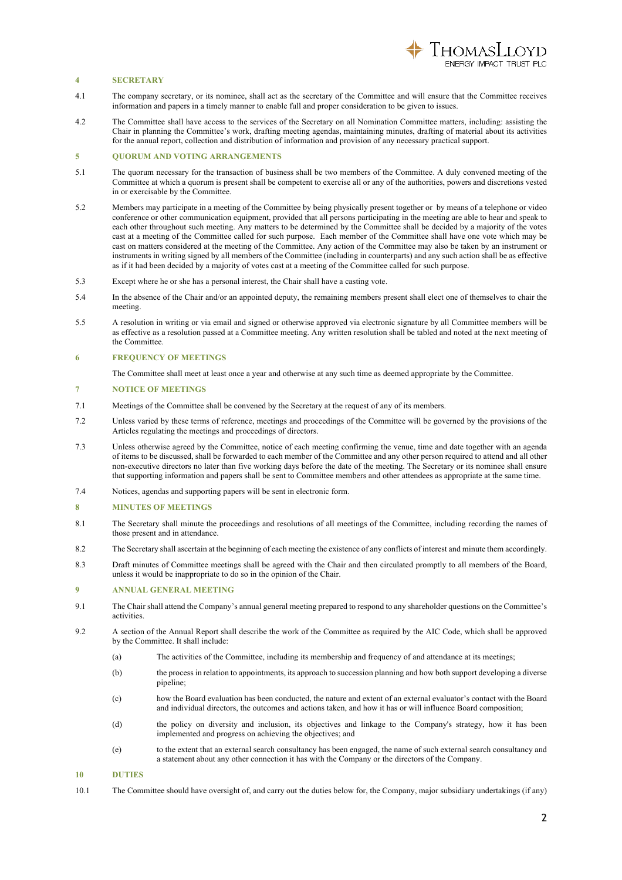

## **4 SECRETARY**

- 4.1 The company secretary, or its nominee, shall act as the secretary of the Committee and will ensure that the Committee receives information and papers in a timely manner to enable full and proper consideration to be given to issues.
- 4.2 The Committee shall have access to the services of the Secretary on all Nomination Committee matters, including: assisting the Chair in planning the Committee's work, drafting meeting agendas, maintaining minutes, drafting of material about its activities for the annual report, collection and distribution of information and provision of any necessary practical support.

## **5 QUORUM AND VOTING ARRANGEMENTS**

- 5.1 The quorum necessary for the transaction of business shall be two members of the Committee. A duly convened meeting of the Committee at which a quorum is present shall be competent to exercise all or any of the authorities, powers and discretions vested in or exercisable by the Committee.
- 5.2 Members may participate in a meeting of the Committee by being physically present together or by means of a telephone or video conference or other communication equipment, provided that all persons participating in the meeting are able to hear and speak to each other throughout such meeting. Any matters to be determined by the Committee shall be decided by a majority of the votes cast at a meeting of the Committee called for such purpose. Each member of the Committee shall have one vote which may be cast on matters considered at the meeting of the Committee. Any action of the Committee may also be taken by an instrument or instruments in writing signed by all members of the Committee (including in counterparts) and any such action shall be as effective as if it had been decided by a majority of votes cast at a meeting of the Committee called for such purpose.
- 5.3 Except where he or she has a personal interest, the Chair shall have a casting vote.
- 5.4 In the absence of the Chair and/or an appointed deputy, the remaining members present shall elect one of themselves to chair the meeting.
- 5.5 A resolution in writing or via email and signed or otherwise approved via electronic signature by all Committee members will be as effective as a resolution passed at a Committee meeting. Any written resolution shall be tabled and noted at the next meeting of the Committee.

#### **6 FREQUENCY OF MEETINGS**

The Committee shall meet at least once a year and otherwise at any such time as deemed appropriate by the Committee.

#### **7 NOTICE OF MEETINGS**

- 7.1 Meetings of the Committee shall be convened by the Secretary at the request of any of its members.
- 7.2 Unless varied by these terms of reference, meetings and proceedings of the Committee will be governed by the provisions of the Articles regulating the meetings and proceedings of directors.
- 7.3 Unless otherwise agreed by the Committee, notice of each meeting confirming the venue, time and date together with an agenda of items to be discussed, shall be forwarded to each member of the Committee and any other person required to attend and all other non-executive directors no later than five working days before the date of the meeting. The Secretary or its nominee shall ensure that supporting information and papers shall be sent to Committee members and other attendees as appropriate at the same time.
- 7.4 Notices, agendas and supporting papers will be sent in electronic form.

#### **8 MINUTES OF MEETINGS**

- 8.1 The Secretary shall minute the proceedings and resolutions of all meetings of the Committee, including recording the names of those present and in attendance.
- 8.2 The Secretary shall ascertain at the beginning of each meeting the existence of any conflicts of interest and minute them accordingly.
- 8.3 Draft minutes of Committee meetings shall be agreed with the Chair and then circulated promptly to all members of the Board, unless it would be inappropriate to do so in the opinion of the Chair.

### **9 ANNUAL GENERAL MEETING**

- 9.1 The Chair shall attend the Company's annual general meeting prepared to respond to any shareholder questions on the Committee's activities.
- 9.2 A section of the Annual Report shall describe the work of the Committee as required by the AIC Code, which shall be approved by the Committee. It shall include:
	- (a) The activities of the Committee, including its membership and frequency of and attendance at its meetings;
	- (b) the process in relation to appointments, its approach to succession planning and how both support developing a diverse pipeline;
	- (c) how the Board evaluation has been conducted, the nature and extent of an external evaluator's contact with the Board and individual directors, the outcomes and actions taken, and how it has or will influence Board composition;
	- (d) the policy on diversity and inclusion, its objectives and linkage to the Company's strategy, how it has been implemented and progress on achieving the objectives; and
	- (e) to the extent that an external search consultancy has been engaged, the name of such external search consultancy and a statement about any other connection it has with the Company or the directors of the Company.

#### **10 DUTIES**

10.1 The Committee should have oversight of, and carry out the duties below for, the Company, major subsidiary undertakings (if any)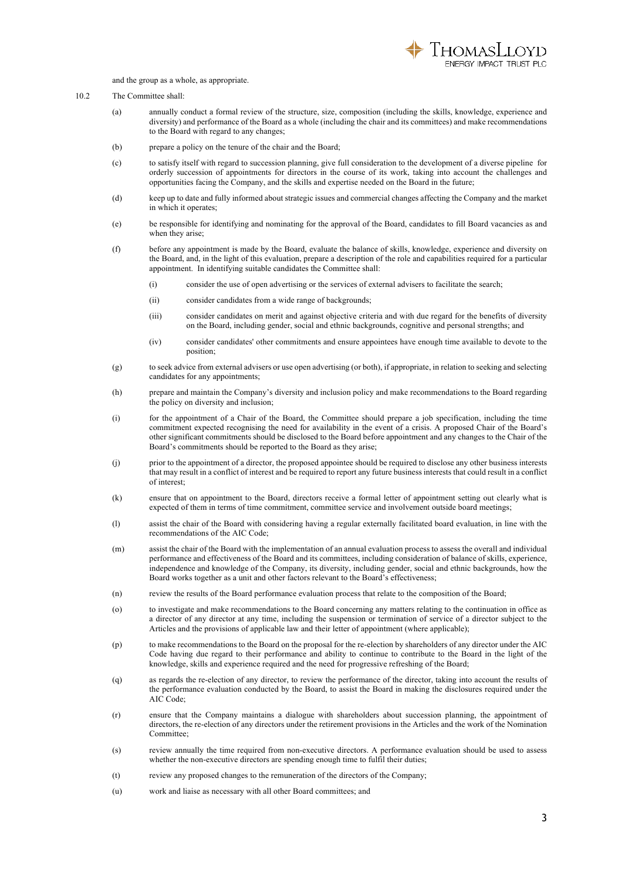

and the group as a whole, as appropriate.

## 10.2 The Committee shall:

- (a) annually conduct a formal review of the structure, size, composition (including the skills, knowledge, experience and diversity) and performance of the Board as a whole (including the chair and its committees) and make recommendations to the Board with regard to any changes;
- (b) prepare a policy on the tenure of the chair and the Board;
- (c) to satisfy itself with regard to succession planning, give full consideration to the development of a diverse pipeline for orderly succession of appointments for directors in the course of its work, taking into account the challenges and opportunities facing the Company, and the skills and expertise needed on the Board in the future;
- (d) keep up to date and fully informed about strategic issues and commercial changes affecting the Company and the market in which it operates;
- (e) be responsible for identifying and nominating for the approval of the Board, candidates to fill Board vacancies as and when they arise:
- (f) before any appointment is made by the Board, evaluate the balance of skills, knowledge, experience and diversity on the Board, and, in the light of this evaluation, prepare a description of the role and capabilities required for a particular appointment. In identifying suitable candidates the Committee shall:
	- (i) consider the use of open advertising or the services of external advisers to facilitate the search;
	- (ii) consider candidates from a wide range of backgrounds;
	- (iii) consider candidates on merit and against objective criteria and with due regard for the benefits of diversity on the Board, including gender, social and ethnic backgrounds, cognitive and personal strengths; and
	- (iv) consider candidates' other commitments and ensure appointees have enough time available to devote to the position;
- (g) to seek advice from external advisers or use open advertising (or both), if appropriate, in relation to seeking and selecting candidates for any appointments;
- (h) prepare and maintain the Company's diversity and inclusion policy and make recommendations to the Board regarding the policy on diversity and inclusion;
- (i) for the appointment of a Chair of the Board, the Committee should prepare a job specification, including the time commitment expected recognising the need for availability in the event of a crisis. A proposed Chair of the Board's other significant commitments should be disclosed to the Board before appointment and any changes to the Chair of the Board's commitments should be reported to the Board as they arise;
- (j) prior to the appointment of a director, the proposed appointee should be required to disclose any other business interests that may result in a conflict of interest and be required to report any future business interests that could result in a conflict of interest;
- (k) ensure that on appointment to the Board, directors receive a formal letter of appointment setting out clearly what is expected of them in terms of time commitment, committee service and involvement outside board meetings;
- (l) assist the chair of the Board with considering having a regular externally facilitated board evaluation, in line with the recommendations of the AIC Code;
- (m) assist the chair of the Board with the implementation of an annual evaluation process to assess the overall and individual performance and effectiveness of the Board and its committees, including consideration of balance of skills, experience, independence and knowledge of the Company, its diversity, including gender, social and ethnic backgrounds, how the Board works together as a unit and other factors relevant to the Board's effectiveness;
- (n) review the results of the Board performance evaluation process that relate to the composition of the Board;
- (o) to investigate and make recommendations to the Board concerning any matters relating to the continuation in office as a director of any director at any time, including the suspension or termination of service of a director subject to the Articles and the provisions of applicable law and their letter of appointment (where applicable);
- (p) to make recommendations to the Board on the proposal for the re-election by shareholders of any director under the AIC Code having due regard to their performance and ability to continue to contribute to the Board in the light of the knowledge, skills and experience required and the need for progressive refreshing of the Board;
- (q) as regards the re-election of any director, to review the performance of the director, taking into account the results of the performance evaluation conducted by the Board, to assist the Board in making the disclosures required under the AIC Code;
- (r) ensure that the Company maintains a dialogue with shareholders about succession planning, the appointment of directors, the re-election of any directors under the retirement provisions in the Articles and the work of the Nomination Committee;
- (s) review annually the time required from non-executive directors. A performance evaluation should be used to assess whether the non-executive directors are spending enough time to fulfil their duties;
- (t) review any proposed changes to the remuneration of the directors of the Company;
- (u) work and liaise as necessary with all other Board committees; and